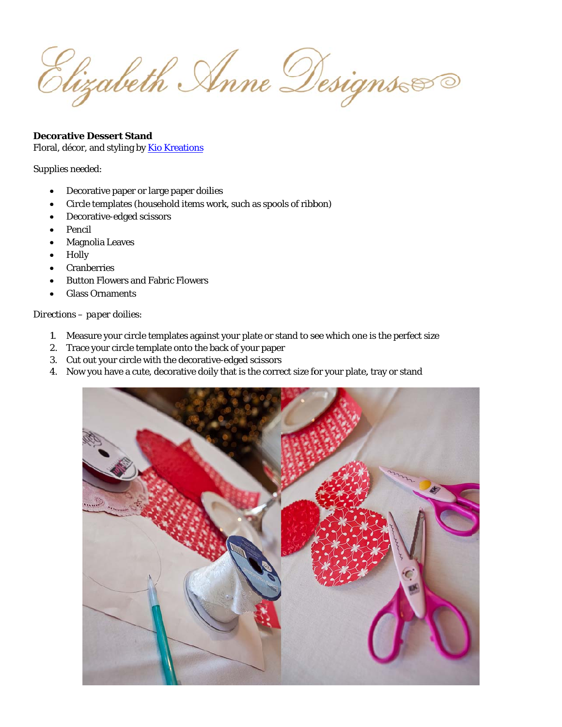Elizabeth Anne Designs

## **Decorative Dessert Stand**

Floral, décor, and styling by Kio Kreations

## Supplies needed:

- Decorative paper or large paper doilies
- Circle templates (household items work, such as spools of ribbon)
- Decorative-edged scissors
- Pencil
- **Magnolia Leaves**
- Holly
- **Cranberries**
- **Button Flowers and Fabric Flowers**
- **Glass Ornaments**

## Directions - paper doilies:

- 1. Measure your circle templates against your plate or stand to see which one is the perfect size
- 2. Trace your circle template onto the back of your paper
- 3. Cut out your circle with the decorative-edged scissors
- 4. Now you have a cute, decorative doily that is the correct size for your plate, tray or stand

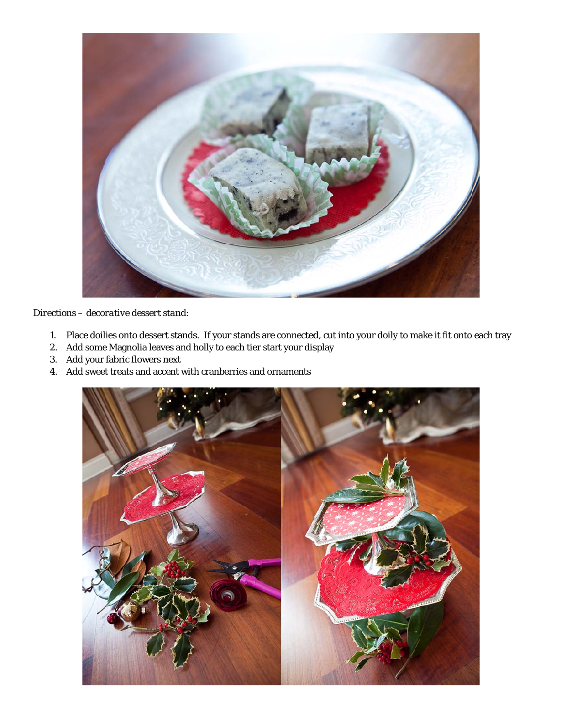

## Directions - decorative dessert stand:

- 1. Place doilies onto dessert stands. If your stands are connected, cut into your doily to make it fit onto each tray
- 2. Add some Magnolia leaves and holly to each tier start your display
- 3. Add your fabric flowers next
- 4. Add sweet treats and accent with cranberries and ornaments